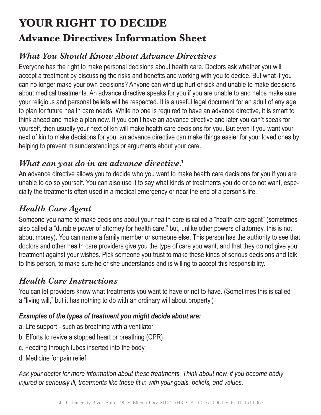# **YOUR RIGHT TO DECIDE Advance Directives Information Sheet**

## *What You Should Know About Advance Directives*

Everyone has the right to make personal decisions about health care. Doctors ask whether you will accept a treatment by discussing the risks and benefits and working with you to decide. But what if you can no longer make your own decisions? Anyone can wind up hurt or sick and unable to make decisions about medical treatments. An advance directive speaks for you if you are unable to and helps make sure your religious and personal beliefs will be respected. It is a useful legal document for an adult of any age to plan for future health care needs. While no one is required to have an advance directive, it is smart to think ahead and make a plan now. If you don't have an advance directive and later you can't speak for yourself, then usually your next of kin will make health care decisions for you. But even if you want your next of kin to make decisions for you, an advance directive can make things easier for your loved ones by helping to prevent misunderstandings or arguments about your care.

#### *What can you do in an advance directive?*

An advance directive allows you to decide who you want to make health care decisions for you if you are unable to do so yourself. You can also use it to say what kinds of treatments you do or do not want, especially the treatments often used in a medical emergency or near the end of a person's life.

### *Health Care Agent*

Someone you name to make decisions about your health care is called a "health care agent" (sometimes also called a "durable power of attorney for health care," but, unlike other powers of attorney, this is not about money). You can name a family member or someone else. This person has the authority to see that doctors and other health care providers give you the type of care you want, and that they do not give you treatment against your wishes. Pick someone you trust to make these kinds of serious decisions and talk to this person, to make sure he or she understands and is willing to accept this responsibility.

### *Health Care Instructions*

You can let providers know what treatments you want to have or not to have. (Sometimes this is called a "living will," but it has nothing to do with an ordinary will about property.)

#### *Examples of the types of treatment you might decide about are:*

- a. Life support such as breathing with a ventilator
- b. Efforts to revive a stopped heart or breathing (CPR)
- c. Feeding through tubes inserted into the body
- d. Medicine for pain relief

*Ask your doctor for more information about these treatments. Think about how, if you become badly injured or seriously ill, treatments like these fit in with your goals, beliefs, and values.*